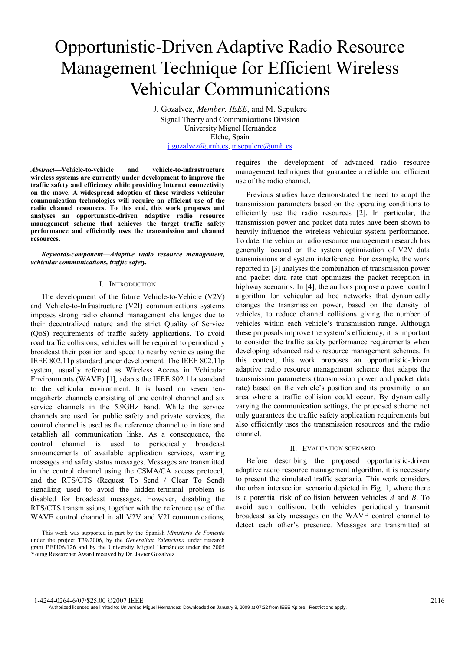# Opportunistic-Driven Adaptive Radio Resource Management Technique for Efficient Wireless Vehicular Communications

J. Gozalvez, *Member, IEEE*, and M. Sepulcre Signal Theory and Communications Division University Miguel Hernández Elche, Spain j.gozalvez@umh.es, msepulcre@umh.es

*Abstract***—Vehicle-to-vehicle and vehicle-to-infrastructure wireless systems are currently under development to improve the traffic safety and efficiency while providing Internet connectivity on the move. A widespread adoption of these wireless vehicular communication technologies will require an efficient use of the radio channel resources. To this end, this work proposes and analyses an opportunistic-driven adaptive radio resource management scheme that achieves the target traffic safety performance and efficiently uses the transmission and channel resources.** 

*Keywords-component—Adaptive radio resource management, vehicular communications, traffic safety.*

#### I. INTRODUCTION

The development of the future Vehicle-to-Vehicle (V2V) and Vehicle-to-Infrastructure (V2I) communications systems imposes strong radio channel management challenges due to their decentralized nature and the strict Quality of Service (QoS) requirements of traffic safety applications. To avoid road traffic collisions, vehicles will be required to periodically broadcast their position and speed to nearby vehicles using the IEEE 802.11p standard under development. The IEEE 802.11p system, usually referred as Wireless Access in Vehicular Environments (WAVE) [1], adapts the IEEE 802.11a standard to the vehicular environment. It is based on seven tenmegahertz channels consisting of one control channel and six service channels in the 5.9GHz band. While the service channels are used for public safety and private services, the control channel is used as the reference channel to initiate and establish all communication links. As a consequence, the control channel is used to periodically broadcast announcements of available application services, warning messages and safety status messages. Messages are transmitted in the control channel using the CSMA/CA access protocol, and the RTS/CTS (Request To Send / Clear To Send) signalling used to avoid the hidden-terminal problem is disabled for broadcast messages. However, disabling the RTS/CTS transmissions, together with the reference use of the WAVE control channel in all V2V and V2I communications, requires the development of advanced radio resource management techniques that guarantee a reliable and efficient use of the radio channel.

Previous studies have demonstrated the need to adapt the transmission parameters based on the operating conditions to efficiently use the radio resources [2]. In particular, the transmission power and packet data rates have been shown to heavily influence the wireless vehicular system performance. To date, the vehicular radio resource management research has generally focused on the system optimization of V2V data transmissions and system interference. For example, the work reported in [3] analyses the combination of transmission power and packet data rate that optimizes the packet reception in highway scenarios. In [4], the authors propose a power control algorithm for vehicular ad hoc networks that dynamically changes the transmission power, based on the density of vehicles, to reduce channel collisions giving the number of vehicles within each vehicle's transmission range. Although these proposals improve the system's efficiency, it is important to consider the traffic safety performance requirements when developing advanced radio resource management schemes. In this context, this work proposes an opportunistic-driven adaptive radio resource management scheme that adapts the transmission parameters (transmission power and packet data rate) based on the vehicle's position and its proximity to an area where a traffic collision could occur. By dynamically varying the communication settings, the proposed scheme not only guarantees the traffic safety application requirements but also efficiently uses the transmission resources and the radio channel.

## II. EVALUATION SCENARIO

Before describing the proposed opportunistic-driven adaptive radio resource management algorithm, it is necessary to present the simulated traffic scenario. This work considers the urban intersection scenario depicted in Fig. 1, where there is a potential risk of collision between vehicles *A* and *B*. To avoid such collision, both vehicles periodically transmit broadcast safety messages on the WAVE control channel to detect each other's presence. Messages are transmitted at

Authorized licensed use limited to: Univerdad Miguel Hernandez. Downloaded on January 8, 2009 at 07:22 from IEEE Xplore. Restrictions apply.

This work was supported in part by the Spanish *Ministerio de Fomento* under the project T39/2006, by the *Generalitat Valenciana* under research grant BFPI06/126 and by the University Miguel Hernández under the 2005 Young Researcher Award received by Dr. Javier Gozalvez.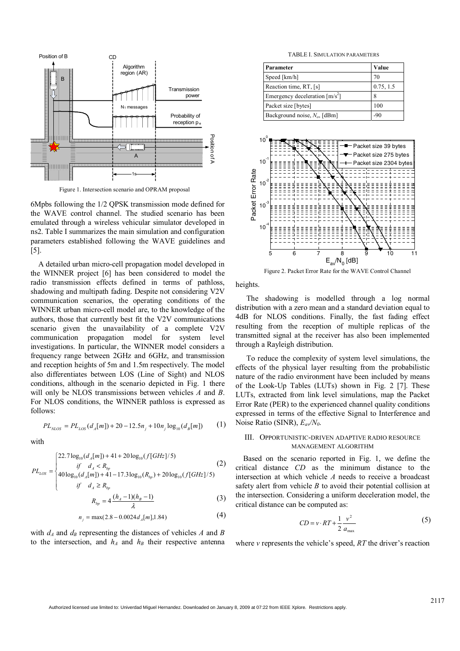

Figure 1. Intersection scenario and OPRAM proposal

6Mpbs following the 1/2 QPSK transmission mode defined for the WAVE control channel. The studied scenario has been emulated through a wireless vehicular simulator developed in ns2. Table I summarizes the main simulation and configuration parameters established following the WAVE guidelines and [5].

A detailed urban micro-cell propagation model developed in the WINNER project [6] has been considered to model the radio transmission effects defined in terms of pathloss, shadowing and multipath fading. Despite not considering V2V communication scenarios, the operating conditions of the WINNER urban micro-cell model are, to the knowledge of the authors, those that currently best fit the V2V communications scenario given the unavailability of a complete V2V communication propagation model for system level investigations. In particular, the WINNER model considers a frequency range between 2GHz and 6GHz, and transmission and reception heights of 5m and 1.5m respectively. The model also differentiates between LOS (Line of Sight) and NLOS conditions, although in the scenario depicted in Fig. 1 there will only be NLOS transmissions between vehicles *A* and *B*. For NLOS conditions, the WINNER pathloss is expressed as follows:

$$
PL_{NLOS} = PL_{LOS}(d_A[m]) + 20 - 12.5n_j + 10n_j \log_{10}(d_B[m])
$$
 (1)

with

$$
PL_{LOS} = \begin{cases} 22.7 \log_{10}(d_A[m]) + 41 + 20 \log_{10}(f[GHz]/5) & (2) \\ \text{if} \quad d_A < R_{bp} \\ 40 \log_{10}(d_A[m]) + 41 - 17.3 \log_{10}(R_{bp}) + 20 \log_{10}(f[GHz]/5) & \text{if} \quad d_A \ge R_{bp} \\ \text{if} \quad d_A \ge R_{bp} & R_{bp} = 4 \frac{(h_A - 1)(h_B - 1)}{\lambda} \end{cases} \tag{3}
$$

$$
n_j = \max(2.8 - 0.0024 d_A[m], 1.84)
$$
 (4)

with  $d_A$  and  $d_B$  representing the distances of vehicles  $A$  and  $B$ to the intersection, and  $h_A$  and  $h_B$  their respective antenna

TABLE I. SIMULATION PARAMETERS

| Parameter                        | Value     |
|----------------------------------|-----------|
| Speed [km/h]                     | 70        |
| Reaction time, RT, [s]           | 0.75, 1.5 |
| Emergency deceleration $[m/s^2]$ |           |
| Packet size [bytes]              | 100       |
| Background noise, $N_o$ , [dBm]  | -90       |



Figure 2. Packet Error Rate for the WAVE Control Channel

heights.

The shadowing is modelled through a log normal distribution with a zero mean and a standard deviation equal to 4dB for NLOS conditions. Finally, the fast fading effect resulting from the reception of multiple replicas of the transmitted signal at the receiver has also been implemented through a Rayleigh distribution.

To reduce the complexity of system level simulations, the effects of the physical layer resulting from the probabilistic nature of the radio environment have been included by means of the Look-Up Tables (LUTs) shown in Fig. 2 [7]. These LUTs, extracted from link level simulations, map the Packet Error Rate (PER) to the experienced channel quality conditions expressed in terms of the effective Signal to Interference and Noise Ratio (SINR), *Eav/N0*.

### III. OPPORTUNISTIC-DRIVEN ADAPTIVE RADIO RESOURCE MANAGEMENT ALGORITHM

Based on the scenario reported in Fig. 1, we define the critical distance *CD* as the minimum distance to the intersection at which vehicle *A* needs to receive a broadcast safety alert from vehicle *B* to avoid their potential collision at the intersection. Considering a uniform deceleration model, the critical distance can be computed as:

$$
CD = v \cdot RT + \frac{1}{2} \frac{v^2}{a_{\text{max}}} \tag{5}
$$

where *v* represents the vehicle's speed, *RT* the driver's reaction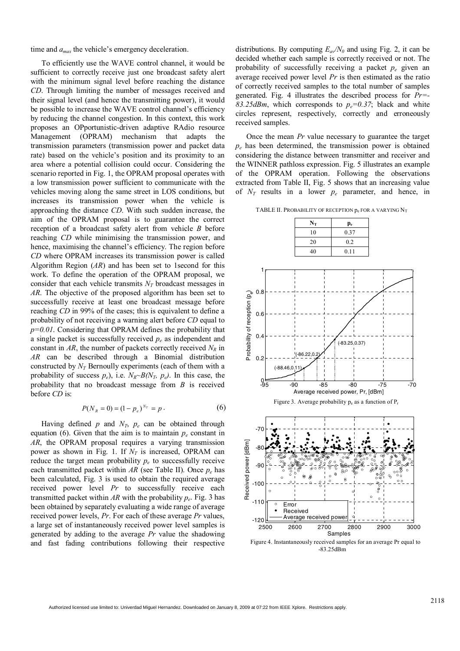time and *amax* the vehicle's emergency deceleration.

To efficiently use the WAVE control channel, it would be sufficient to correctly receive just one broadcast safety alert with the minimum signal level before reaching the distance *CD*. Through limiting the number of messages received and their signal level (and hence the transmitting power), it would be possible to increase the WAVE control channel's efficiency by reducing the channel congestion. In this context, this work proposes an OPportunistic-driven adaptive RAdio resource Management (OPRAM) mechanism that adapts the transmission parameters (transmission power and packet data rate) based on the vehicle's position and its proximity to an area where a potential collision could occur. Considering the scenario reported in Fig. 1, the OPRAM proposal operates with a low transmission power sufficient to communicate with the vehicles moving along the same street in LOS conditions, but increases its transmission power when the vehicle is approaching the distance *CD*. With such sudden increase, the aim of the OPRAM proposal is to guarantee the correct reception of a broadcast safety alert from vehicle *B* before reaching *CD* while minimising the transmission power, and hence, maximising the channel's efficiency. The region before *CD* where OPRAM increases its transmission power is called Algorithm Region (*AR*) and has been set to 1second for this work. To define the operation of the OPRAM proposal, we consider that each vehicle transmits  $N_T$  broadcast messages in *AR*. The objective of the proposed algorithm has been set to successfully receive at least one broadcast message before reaching *CD* in 99% of the cases; this is equivalent to define a probability of not receiving a warning alert before *CD* equal to *p=0.01*. Considering that OPRAM defines the probability that a single packet is successfully received  $p_e$  as independent and constant in  $AR$ , the number of packets correctly received  $N_R$  in *AR* can be described through a Binomial distribution constructed by  $N_T$  Bernoully experiments (each of them with a probability of success  $p_e$ ), i.e.  $N_R \sim B(N_T, p_e)$ . In this case, the probability that no broadcast message from *B* is received before *CD* is:

$$
P(N_R = 0) = (1 - p_e)^{N_T} = p.
$$
 (6)

Having defined  $p$  and  $N_T$ ,  $p_e$  can be obtained through equation (6). Given that the aim is to maintain  $p_e$  constant in *AR*, the OPRAM proposal requires a varying transmission power as shown in Fig. 1. If  $N_T$  is increased, OPRAM can reduce the target mean probability  $p_e$  to successfully receive each transmitted packet within  $AR$  (see Table II). Once  $p_e$  has been calculated, Fig. 3 is used to obtain the required average received power level *Pr* to successfully receive each transmitted packet within  $AR$  with the probability  $p_e$ . Fig. 3 has been obtained by separately evaluating a wide range of average received power levels, *Pr*. For each of these average *Pr* values, a large set of instantaneously received power level samples is generated by adding to the average *Pr* value the shadowing and fast fading contributions following their respective

distributions. By computing  $E_{av}/N_0$  and using Fig. 2, it can be decided whether each sample is correctly received or not. The probability of successfully receiving a packet *pe* given an average received power level *Pr* is then estimated as the ratio of correctly received samples to the total number of samples generated. Fig. 4 illustrates the described process for *Pr=-* 83.25dBm, which corresponds to  $p_e=0.37$ ; black and white circles represent, respectively, correctly and erroneously received samples.

Once the mean *Pr* value necessary to guarantee the target *pe* has been determined, the transmission power is obtained considering the distance between transmitter and receiver and the WINNER pathloss expression. Fig. 5 illustrates an example of the OPRAM operation. Following the observations extracted from Table II, Fig. 5 shows that an increasing value of  $N_T$  results in a lower  $p_e$  parameter, and hence, in

TABLE II. PROBABILITY OF RECEPTION  $p_e$  FOR A VARYING  $N_T$ 





Figure 4. Instantaneously received samples for an average Pr equal to -83.25dBm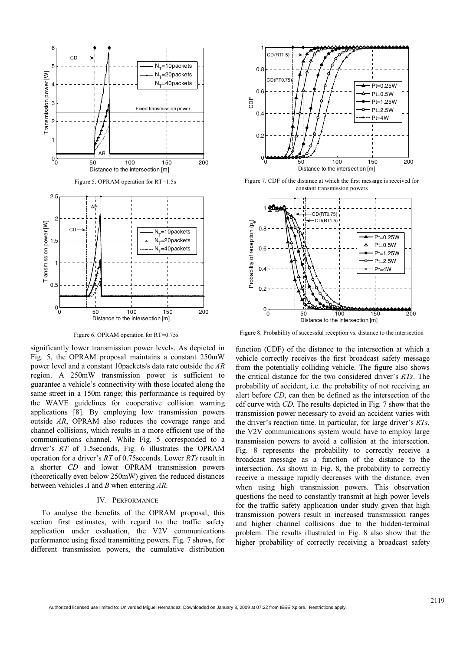

Figure 6. OPRAM operation for RT=0.75s

significantly lower transmission power levels. As depicted in Fig. 5, the OPRAM proposal maintains a constant 250mW power level and a constant 10packets/s data rate outside the *AR* region. A 250mW transmission power is sufficient to guarantee a vehicle's connectivity with those located along the same street in a 150m range; this performance is required by the WAVE guidelines for cooperative collision warning applications [8]. By employing low transmission powers outside *AR*, OPRAM also reduces the coverage range and channel collisions, which results in a more efficient use of the communications channel. While Fig. 5 corresponded to a driver's *RT* of 1.5seconds, Fig. 6 illustrates the OPRAM operation for a driver's *RT* of 0.75seconds. Lower *RTs* result in a shorter *CD* and lower OPRAM transmission powers (theoretically even below 250mW) given the reduced distances between vehicles *A* and *B* when entering *AR*.

### IV. PERFORMANCE

To analyse the benefits of the OPRAM proposal, this section first estimates, with regard to the traffic safety application under evaluation, the V2V communications performance using fixed transmitting powers. Fig. 7 shows, for different transmission powers, the cumulative distribution



Figure 7. CDF of the distance at which the first message is received for constant transmission powers



Figure 8. Probability of successful reception vs. distance to the intersection

function (CDF) of the distance to the intersection at which a vehicle correctly receives the first broadcast safety message from the potentially colliding vehicle. The figure also shows the critical distance for the two considered driver's *RTs*. The probability of accident, i.e. the probability of not receiving an alert before *CD*, can then be defined as the intersection of the cdf curve with *CD*. The results depicted in Fig. 7 show that the transmission power necessary to avoid an accident varies with the driver's reaction time. In particular, for large driver's *RTs*, the V2V communications system would have to employ large transmission powers to avoid a collision at the intersection. Fig. 8 represents the probability to correctly receive a broadcast message as a function of the distance to the intersection. As shown in Fig. 8, the probability to correctly receive a message rapidly decreases with the distance, even when using high transmission powers. This observation questions the need to constantly transmit at high power levels for the traffic safety application under study given that high transmission powers result in increased transmission ranges and higher channel collisions due to the hidden-terminal problem. The results illustrated in Fig. 8 also show that the higher probability of correctly receiving a broadcast safety